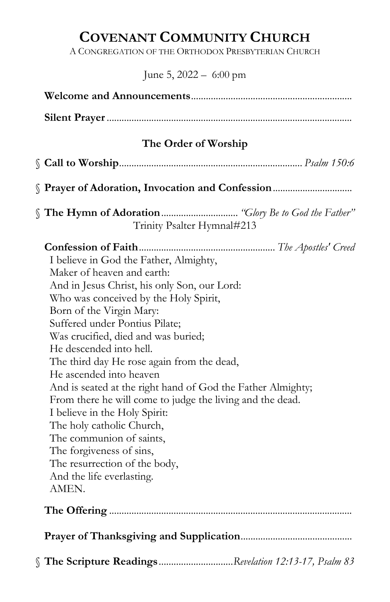# COVENANT COMMUNITY CHURCH

A CONGREGATION OF THE ORTHODOX PRESBYTERIAN CHURCH

# June 5, 2022 – 6:00 pm

| The Order of Worship                                                                                                                                                                                                                                                                                                                                                                                                                                                                                                                                                                                                                                                                                                                                     |  |  |  |  |
|----------------------------------------------------------------------------------------------------------------------------------------------------------------------------------------------------------------------------------------------------------------------------------------------------------------------------------------------------------------------------------------------------------------------------------------------------------------------------------------------------------------------------------------------------------------------------------------------------------------------------------------------------------------------------------------------------------------------------------------------------------|--|--|--|--|
|                                                                                                                                                                                                                                                                                                                                                                                                                                                                                                                                                                                                                                                                                                                                                          |  |  |  |  |
| Prayer of Adoration, Invocation and Confession                                                                                                                                                                                                                                                                                                                                                                                                                                                                                                                                                                                                                                                                                                           |  |  |  |  |
| Trinity Psalter Hymnal#213                                                                                                                                                                                                                                                                                                                                                                                                                                                                                                                                                                                                                                                                                                                               |  |  |  |  |
| I believe in God the Father, Almighty,<br>Maker of heaven and earth:<br>And in Jesus Christ, his only Son, our Lord:<br>Who was conceived by the Holy Spirit,<br>Born of the Virgin Mary:<br>Suffered under Pontius Pilate;<br>Was crucified, died and was buried;<br>He descended into hell.<br>The third day He rose again from the dead,<br>He ascended into heaven<br>And is seated at the right hand of God the Father Almighty;<br>From there he will come to judge the living and the dead.<br>I believe in the Holy Spirit:<br>The holy catholic Church,<br>The communion of saints,<br>The forgiveness of sins,<br>The resurrection of the body,<br>And the life everlasting.<br>AMEN.<br>§ The Scripture ReadingsRevelation 12:13-17, Psalm 83 |  |  |  |  |